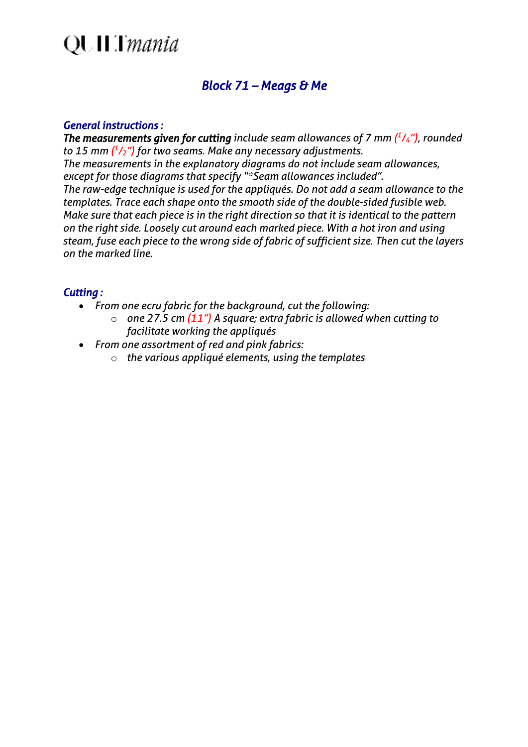## **QUILT** mania

### *Block 71 – Meags & Me*

#### *General instructions :*

*The measurements given for cutting include seam allowances of 7 mm ( 1 /4"), rounded to 15 mm ( 1 /2") for two seams. Make any necessary adjustments. The measurements in the explanatory diagrams do not include seam allowances, except for those diagrams that specify "\*Seam allowances included". The raw-edge technique is used for the appliqués. Do not add a seam allowance to the templates. Trace each shape onto the smooth side of the double-sided fusible web. Make sure that each piece is in the right direction so that it is identical to the pattern on the right side. Loosely cut around each marked piece. With a hot iron and using steam, fuse each piece to the wrong side of fabric of sufficient size. Then cut the layers on the marked line.*

#### *Cutting :*

- *From one ecru fabric for the background, cut the following:*
	- o *one 27.5 cm (11") A square; extra fabric is allowed when cutting to facilitate working the appliqués*
- *From one assortment of red and pink fabrics:*
	- o *the various appliqué elements, using the templates*